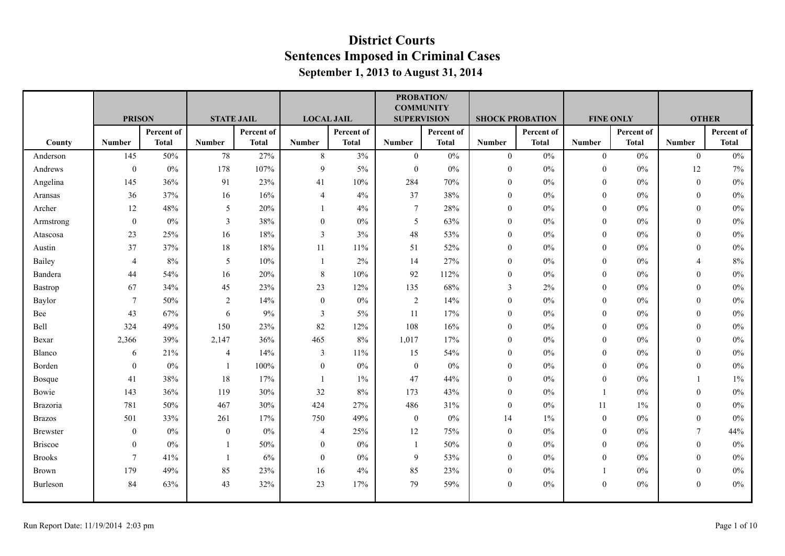|                 |                  |              |                   |              |                   |              | <b>COMMUNITY</b>   | <b>PROBATION/</b> |                  |                        |                  |                  |                  |              |
|-----------------|------------------|--------------|-------------------|--------------|-------------------|--------------|--------------------|-------------------|------------------|------------------------|------------------|------------------|------------------|--------------|
|                 | <b>PRISON</b>    |              | <b>STATE JAIL</b> |              | <b>LOCAL JAIL</b> |              | <b>SUPERVISION</b> |                   |                  | <b>SHOCK PROBATION</b> |                  | <b>FINE ONLY</b> | <b>OTHER</b>     |              |
|                 |                  | Percent of   |                   | Percent of   |                   | Percent of   |                    | Percent of        |                  | Percent of             |                  | Percent of       |                  | Percent of   |
| County          | <b>Number</b>    | <b>Total</b> | <b>Number</b>     | <b>Total</b> | <b>Number</b>     | <b>Total</b> | <b>Number</b>      | <b>Total</b>      | <b>Number</b>    | <b>Total</b>           | <b>Number</b>    | <b>Total</b>     | <b>Number</b>    | <b>Total</b> |
| Anderson        | 145              | 50%          | $78\,$            | 27%          | $\,8\,$           | 3%           | $\mathbf{0}$       | $0\%$             | $\overline{0}$   | $0\%$                  | $\boldsymbol{0}$ | $0\%$            | $\overline{0}$   | $0\%$        |
| Andrews         | $\boldsymbol{0}$ | $0\%$        | 178               | 107%         | 9                 | $5\%$        | $\mathbf{0}$       | $0\%$             | $\mathbf{0}$     | $0\%$                  | $\mathbf{0}$     | $0\%$            | 12               | 7%           |
| Angelina        | 145              | 36%          | 91                | 23%          | 41                | 10%          | 284                | 70%               | $\overline{0}$   | $0\%$                  | $\mathbf{0}$     | $0\%$            | $\mathbf{0}$     | $0\%$        |
| Aransas         | 36               | 37%          | 16                | 16%          | $\overline{4}$    | 4%           | 37                 | 38%               | $\theta$         | $0\%$                  | $\mathbf{0}$     | $0\%$            | $\mathbf{0}$     | $0\%$        |
| Archer          | 12               | 48%          | 5                 | 20%          |                   | 4%           | $\overline{7}$     | 28%               | $\boldsymbol{0}$ | $0\%$                  | $\mathbf{0}$     | $0\%$            | $\mathbf{0}$     | $0\%$        |
| Armstrong       | $\mathbf{0}$     | $0\%$        | $\mathfrak{Z}$    | 38%          | $\mathbf{0}$      | $0\%$        | 5                  | 63%               | $\overline{0}$   | $0\%$                  | $\mathbf{0}$     | $0\%$            | $\theta$         | $0\%$        |
| Atascosa        | 23               | 25%          | 16                | 18%          | 3                 | 3%           | $48\,$             | 53%               | $\boldsymbol{0}$ | $0\%$                  | $\mathbf{0}$     | $0\%$            | $\mathbf{0}$     | $0\%$        |
| Austin          | 37               | 37%          | 18                | 18%          | 11                | 11%          | 51                 | 52%               | $\boldsymbol{0}$ | $0\%$                  | $\mathbf{0}$     | 0%               | $\theta$         | $0\%$        |
| Bailey          | $\overline{4}$   | 8%           | 5                 | 10%          |                   | 2%           | 14                 | 27%               | $\boldsymbol{0}$ | $0\%$                  | $\boldsymbol{0}$ | $0\%$            | $\overline{4}$   | 8%           |
| Bandera         | 44               | 54%          | 16                | 20%          | $\,8\,$           | 10%          | 92                 | 112%              | $\mathbf{0}$     | $0\%$                  | $\mathbf{0}$     | $0\%$            | $\theta$         | $0\%$        |
| Bastrop         | 67               | 34%          | 45                | 23%          | 23                | 12%          | 135                | 68%               | $\mathfrak{Z}$   | 2%                     | $\mathbf{0}$     | $0\%$            | $\theta$         | $0\%$        |
| Baylor          | $7\phantom{.0}$  | 50%          | $\overline{2}$    | 14%          | $\mathbf{0}$      | $0\%$        | $\sqrt{2}$         | 14%               | $\mathbf{0}$     | $0\%$                  | $\mathbf{0}$     | $0\%$            | $\mathbf{0}$     | $0\%$        |
| Bee             | 43               | 67%          | 6                 | 9%           | 3                 | $5\%$        | 11                 | 17%               | $\overline{0}$   | $0\%$                  | $\mathbf{0}$     | $0\%$            | $\theta$         | $0\%$        |
| Bell            | 324              | 49%          | 150               | 23%          | 82                | 12%          | 108                | 16%               | $\overline{0}$   | $0\%$                  | $\mathbf{0}$     | $0\%$            | $\mathbf{0}$     | $0\%$        |
| Bexar           | 2,366            | 39%          | 2,147             | 36%          | 465               | 8%           | 1,017              | 17%               | $\theta$         | $0\%$                  | $\mathbf{0}$     | $0\%$            | $\mathbf{0}$     | $0\%$        |
| Blanco          | 6                | 21%          | $\overline{4}$    | 14%          | $\mathfrak{Z}$    | 11%          | 15                 | 54%               | $\boldsymbol{0}$ | $0\%$                  | $\mathbf{0}$     | $0\%$            | $\theta$         | $0\%$        |
| Borden          | $\boldsymbol{0}$ | $0\%$        | -1                | 100%         | $\mathbf{0}$      | $0\%$        | $\boldsymbol{0}$   | $0\%$             | $\boldsymbol{0}$ | $0\%$                  | $\mathbf{0}$     | $0\%$            | $\theta$         | $0\%$        |
| Bosque          | 41               | 38%          | 18                | 17%          | $\mathbf{1}$      | $1\%$        | 47                 | 44%               | $\mathbf{0}$     | $0\%$                  | $\mathbf{0}$     | $0\%$            |                  | 1%           |
| Bowie           | 143              | 36%          | 119               | 30%          | 32                | $8\%$        | 173                | 43%               | $\overline{0}$   | $0\%$                  | $\overline{1}$   | $0\%$            | $\theta$         | $0\%$        |
| Brazoria        | 781              | 50%          | 467               | 30%          | 424               | 27%          | 486                | 31%               | $\mathbf{0}$     | $0\%$                  | 11               | $1\%$            | $\theta$         | $0\%$        |
| <b>Brazos</b>   | 501              | 33%          | 261               | 17%          | 750               | 49%          | $\boldsymbol{0}$   | $0\%$             | 14               | $1\%$                  | $\mathbf{0}$     | $0\%$            | $\theta$         | $0\%$        |
| <b>Brewster</b> | $\mathbf{0}$     | $0\%$        | $\mathbf{0}$      | 0%           | $\overline{4}$    | 25%          | 12                 | 75%               | $\boldsymbol{0}$ | $0\%$                  | $\mathbf{0}$     | $0\%$            | $\overline{7}$   | 44%          |
| <b>Briscoe</b>  | $\mathbf{0}$     | $0\%$        |                   | 50%          | $\mathbf{0}$      | 0%           | $\mathbf{1}$       | 50%               | $\boldsymbol{0}$ | $0\%$                  | $\mathbf{0}$     | $0\%$            | $\theta$         | $0\%$        |
| <b>Brooks</b>   | $\overline{7}$   | 41%          |                   | 6%           | $\mathbf{0}$      | $0\%$        | $\overline{9}$     | 53%               | $\mathbf{0}$     | $0\%$                  | $\mathbf{0}$     | $0\%$            | $\theta$         | $0\%$        |
| <b>Brown</b>    | 179              | 49%          | 85                | 23%          | 16                | 4%           | 85                 | 23%               | $\boldsymbol{0}$ | $0\%$                  |                  | $0\%$            | $\boldsymbol{0}$ | $0\%$        |
| Burleson        | 84               | 63%          | 43                | 32%          | 23                | 17%          | 79                 | 59%               | $\mathbf{0}$     | $0\%$                  | $\theta$         | $0\%$            | $\theta$         | $0\%$        |
|                 |                  |              |                   |              |                   |              |                    |                   |                  |                        |                  |                  |                  |              |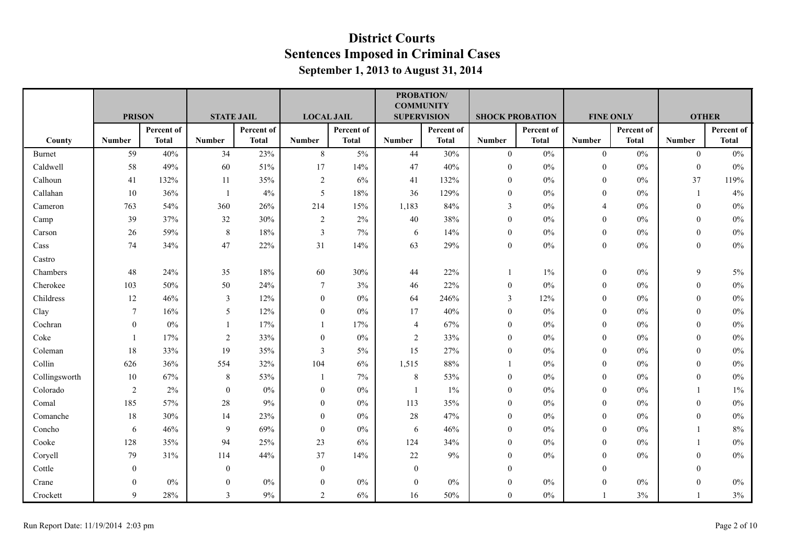|               |                |              |                   |              |                         |              | <b>COMMUNITY</b>   | <b>PROBATION/</b> |                        |              |                  |              |               |              |
|---------------|----------------|--------------|-------------------|--------------|-------------------------|--------------|--------------------|-------------------|------------------------|--------------|------------------|--------------|---------------|--------------|
|               | <b>PRISON</b>  |              | <b>STATE JAIL</b> |              | <b>LOCAL JAIL</b>       |              | <b>SUPERVISION</b> |                   | <b>SHOCK PROBATION</b> |              | <b>FINE ONLY</b> |              | <b>OTHER</b>  |              |
|               |                | Percent of   |                   | Percent of   |                         | Percent of   |                    | Percent of        |                        | Percent of   |                  | Percent of   |               | Percent of   |
| County        | <b>Number</b>  | <b>Total</b> | <b>Number</b>     | <b>Total</b> | <b>Number</b>           | <b>Total</b> | <b>Number</b>      | <b>Total</b>      | <b>Number</b>          | <b>Total</b> | <b>Number</b>    | <b>Total</b> | <b>Number</b> | <b>Total</b> |
| Burnet        | 59             | 40%          | 34                | 23%          | $\,8\,$                 | 5%           | 44                 | 30%               | $\overline{0}$         | $0\%$        | $\boldsymbol{0}$ | $0\%$        | $\theta$      | $0\%$        |
| Caldwell      | 58             | 49%          | 60                | 51%          | 17                      | 14%          | 47                 | 40%               | $\boldsymbol{0}$       | $0\%$        | $\boldsymbol{0}$ | $0\%$        | $\mathbf{0}$  | $0\%$        |
| Calhoun       | 41             | 132%         | 11                | 35%          | $\overline{2}$          | 6%           | 41                 | 132%              | $\boldsymbol{0}$       | $0\%$        | $\mathbf{0}$     | $0\%$        | 37            | 119%         |
| Callahan      | 10             | 36%          | 1                 | 4%           | 5                       | 18%          | 36                 | 129%              | $\boldsymbol{0}$       | $0\%$        | $\Omega$         | $0\%$        | 1             | 4%           |
| Cameron       | 763            | 54%          | 360               | 26%          | 214                     | 15%          | 1,183              | 84%               | 3                      | $0\%$        | $\overline{4}$   | $0\%$        | $\mathbf{0}$  | $0\%$        |
| Camp          | 39             | 37%          | 32                | 30%          | $\overline{2}$          | 2%           | 40                 | 38%               | $\boldsymbol{0}$       | $0\%$        | $\mathbf{0}$     | $0\%$        | $\theta$      | $0\%$        |
| Carson        | 26             | 59%          | $8\,$             | 18%          | $\overline{\mathbf{3}}$ | 7%           | 6                  | 14%               | $\overline{0}$         | $0\%$        | $\mathbf{0}$     | $0\%$        | $\mathbf{0}$  | $0\%$        |
| Cass          | 74             | 34%          | 47                | 22%          | 31                      | 14%          | 63                 | 29%               | $\boldsymbol{0}$       | $0\%$        | $\mathbf{0}$     | $0\%$        | $\mathbf{0}$  | $0\%$        |
| Castro        |                |              |                   |              |                         |              |                    |                   |                        |              |                  |              |               |              |
| Chambers      | 48             | 24%          | 35                | 18%          | 60                      | 30%          | 44                 | 22%               |                        | $1\%$        | $\mathbf{0}$     | 0%           | 9             | $5\%$        |
| Cherokee      | 103            | 50%          | 50                | 24%          | $\tau$                  | 3%           | 46                 | 22%               | $\mathbf{0}$           | $0\%$        | $\theta$         | $0\%$        | $\theta$      | $0\%$        |
| Childress     | 12             | 46%          | $\mathfrak{Z}$    | 12%          | $\boldsymbol{0}$        | $0\%$        | 64                 | 246%              | $\overline{3}$         | 12%          | $\mathbf{0}$     | $0\%$        | $\theta$      | $0\%$        |
| Clay          | $\overline{7}$ | 16%          | 5                 | 12%          | $\boldsymbol{0}$        | $0\%$        | $17$               | 40%               | $\boldsymbol{0}$       | $0\%$        | $\theta$         | $0\%$        | $\mathbf{0}$  | $0\%$        |
| Cochran       | $\mathbf{0}$   | $0\%$        | $\mathbf{1}$      | 17%          | $\mathbf{1}$            | 17%          | 4                  | 67%               | $\boldsymbol{0}$       | $0\%$        | $\overline{0}$   | $0\%$        | $\theta$      | $0\%$        |
| Coke          | $\overline{1}$ | 17%          | $\overline{2}$    | 33%          | $\theta$                | $0\%$        | $\overline{2}$     | 33%               | $\mathbf{0}$           | $0\%$        | $\Omega$         | $0\%$        | $\Omega$      | $0\%$        |
| Coleman       | 18             | 33%          | 19                | 35%          | $\overline{\mathbf{3}}$ | 5%           | 15                 | 27%               | $\theta$               | $0\%$        | $\boldsymbol{0}$ | $0\%$        | $\theta$      | $0\%$        |
| Collin        | 626            | 36%          | 554               | 32%          | 104                     | 6%           | 1,515              | 88%               |                        | $0\%$        | $\theta$         | $0\%$        | $\theta$      | $0\%$        |
| Collingsworth | 10             | 67%          | $8\,$             | 53%          | $\mathbf{1}$            | 7%           | $\,$ 8 $\,$        | 53%               | $\theta$               | $0\%$        | $\Omega$         | $0\%$        | $\theta$      | $0\%$        |
| Colorado      | $\sqrt{2}$     | 2%           | $\boldsymbol{0}$  | $0\%$        | $\boldsymbol{0}$        | $0\%$        | $\mathbf{1}$       | $1\%$             | $\boldsymbol{0}$       | $0\%$        | $\mathbf{0}$     | $0\%$        |               | $1\%$        |
| Comal         | 185            | 57%          | $28\,$            | $9\%$        | $\boldsymbol{0}$        | $0\%$        | 113                | 35%               | $\boldsymbol{0}$       | $0\%$        | $\mathbf{0}$     | $0\%$        | $\theta$      | $0\%$        |
| Comanche      | 18             | 30%          | 14                | 23%          | $\boldsymbol{0}$        | $0\%$        | 28                 | 47%               | $\overline{0}$         | $0\%$        | $\mathbf{0}$     | $0\%$        | $\theta$      | $0\%$        |
| Concho        | 6              | 46%          | 9                 | 69%          | $\mathbf{0}$            | 0%           | 6                  | 46%               | $\mathbf{0}$           | $0\%$        | $\theta$         | 0%           |               | $8\%$        |
| Cooke         | 128            | 35%          | 94                | 25%          | 23                      | 6%           | 124                | 34%               | $\mathbf{0}$           | $0\%$        | $\mathbf{0}$     | $0\%$        |               | $0\%$        |
| Coryell       | 79             | 31%          | 114               | 44%          | 37                      | 14%          | 22                 | $9\%$             | $\overline{0}$         | $0\%$        | $\mathbf{0}$     | $0\%$        | $\Omega$      | $0\%$        |
| Cottle        | $\mathbf{0}$   |              | $\overline{0}$    |              | $\boldsymbol{0}$        |              | $\boldsymbol{0}$   |                   | $\mathbf{0}$           |              | $\mathbf{0}$     |              | $\theta$      |              |
| Crane         | $\Omega$       | $0\%$        | $\boldsymbol{0}$  | $0\%$        | $\boldsymbol{0}$        | $0\%$        | $\boldsymbol{0}$   | $0\%$             | $\boldsymbol{0}$       | $0\%$        | $\overline{0}$   | $0\%$        | $\mathbf{0}$  | $0\%$        |
| Crockett      | 9              | 28%          | 3                 | $9\%$        | 2                       | 6%           | 16                 | 50%               | $\overline{0}$         | $0\%$        | 1                | 3%           |               | $3\%$        |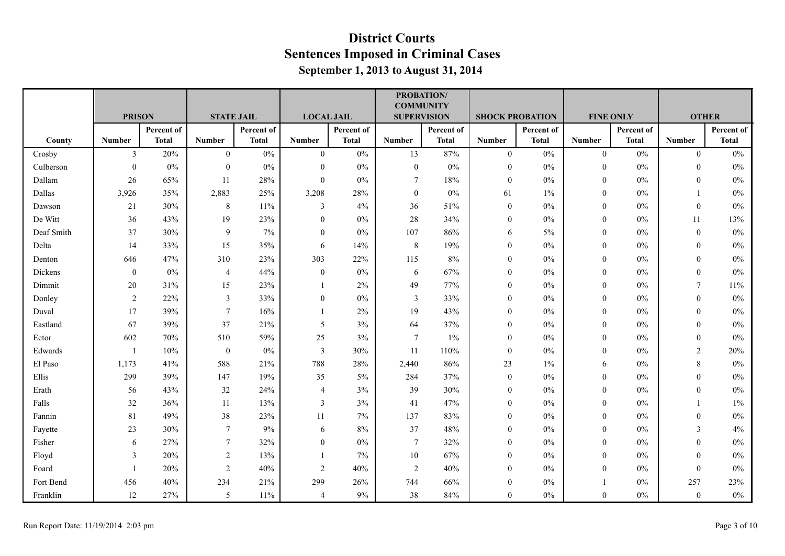|            |                |              |                   |              |                         |              | <b>PROBATION/</b><br><b>COMMUNITY</b> |              |                        |              |                  |              |                |              |
|------------|----------------|--------------|-------------------|--------------|-------------------------|--------------|---------------------------------------|--------------|------------------------|--------------|------------------|--------------|----------------|--------------|
|            | <b>PRISON</b>  |              | <b>STATE JAIL</b> |              | <b>LOCAL JAIL</b>       |              | <b>SUPERVISION</b>                    |              | <b>SHOCK PROBATION</b> |              | <b>FINE ONLY</b> |              | <b>OTHER</b>   |              |
|            |                | Percent of   |                   | Percent of   |                         | Percent of   |                                       | Percent of   |                        | Percent of   |                  | Percent of   |                | Percent of   |
| County     | <b>Number</b>  | <b>Total</b> | <b>Number</b>     | <b>Total</b> | <b>Number</b>           | <b>Total</b> | <b>Number</b>                         | <b>Total</b> | <b>Number</b>          | <b>Total</b> | <b>Number</b>    | <b>Total</b> | <b>Number</b>  | <b>Total</b> |
| Crosby     | $\mathbf{3}$   | 20%          | $\overline{0}$    | $0\%$        | $\mathbf{0}$            | 0%           | 13                                    | 87%          | $\overline{0}$         | $0\%$        | $\overline{0}$   | $0\%$        | $\theta$       | 0%           |
| Culberson  | $\mathbf{0}$   | $0\%$        | $\boldsymbol{0}$  | $0\%$        | $\boldsymbol{0}$        | $0\%$        | $\boldsymbol{0}$                      | $0\%$        | $\mathbf{0}$           | $0\%$        | $\boldsymbol{0}$ | $0\%$        | $\theta$       | $0\%$        |
| Dallam     | $26\,$         | 65%          | 11                | 28%          | $\boldsymbol{0}$        | $0\%$        | 7                                     | $18\%$       | $\mathbf{0}$           | $0\%$        | $\overline{0}$   | $0\%$        | $\theta$       | $0\%$        |
| Dallas     | 3,926          | 35%          | 2,883             | 25%          | 3,208                   | 28%          | $\boldsymbol{0}$                      | $0\%$        | 61                     | $1\%$        | $\boldsymbol{0}$ | $0\%$        |                | $0\%$        |
| Dawson     | 21             | 30%          | 8                 | 11%          | 3                       | 4%           | 36                                    | 51%          | $\theta$               | 0%           | $\Omega$         | 0%           | $\theta$       | 0%           |
| De Witt    | 36             | 43%          | 19                | 23%          | $\boldsymbol{0}$        | $0\%$        | 28                                    | 34%          | $\theta$               | $0\%$        | $\overline{0}$   | $0\%$        | 11             | 13%          |
| Deaf Smith | 37             | 30%          | 9                 | 7%           | $\boldsymbol{0}$        | $0\%$        | 107                                   | 86%          | 6                      | 5%           | $\mathbf{0}$     | $0\%$        | $\mathbf{0}$   | $0\%$        |
| Delta      | 14             | 33%          | 15                | 35%          | 6                       | 14%          | $\,8\,$                               | 19%          | $\mathbf{0}$           | $0\%$        | $\overline{0}$   | $0\%$        | $\theta$       | $0\%$        |
| Denton     | 646            | 47%          | 310               | 23%          | 303                     | 22%          | 115                                   | 8%           | $\mathbf{0}$           | $0\%$        | $\boldsymbol{0}$ | $0\%$        | $\theta$       | $0\%$        |
| Dickens    | $\overline{0}$ | $0\%$        | 4                 | 44%          | $\boldsymbol{0}$        | $0\%$        | 6                                     | 67%          | $\mathbf{0}$           | $0\%$        | $\mathbf{0}$     | $0\%$        | $\mathbf{0}$   | 0%           |
| Dimmit     | 20             | 31%          | 15                | 23%          | $\overline{1}$          | 2%           | 49                                    | 77%          | $\theta$               | $0\%$        | $\mathbf{0}$     | $0\%$        | $\overline{7}$ | 11%          |
| Donley     | 2              | 22%          | $\mathfrak{Z}$    | 33%          | $\mathbf{0}$            | $0\%$        | $\mathfrak{Z}$                        | 33%          | $\theta$               | $0\%$        | $\mathbf{0}$     | $0\%$        | $\mathbf{0}$   | $0\%$        |
| Duval      | 17             | 39%          | 7                 | 16%          |                         | 2%           | 19                                    | 43%          | $\mathbf{0}$           | $0\%$        | $\boldsymbol{0}$ | $0\%$        | $\theta$       | $0\%$        |
| Eastland   | 67             | 39%          | 37                | 21%          | 5                       | 3%           | 64                                    | 37%          | $\theta$               | $0\%$        | $\Omega$         | 0%           | $\theta$       | $0\%$        |
| Ector      | 602            | 70%          | 510               | 59%          | 25                      | 3%           | $\boldsymbol{7}$                      | $1\%$        | $\theta$               | $0\%$        | $\mathbf{0}$     | $0\%$        | $\mathbf{0}$   | $0\%$        |
| Edwards    | -1             | 10%          | $\boldsymbol{0}$  | $0\%$        | $\overline{3}$          | 30%          | 11                                    | 110%         | $\theta$               | $0\%$        | $\overline{0}$   | $0\%$        | 2              | 20%          |
| El Paso    | 1,173          | 41%          | 588               | 21%          | 788                     | 28%          | 2,440                                 | 86%          | 23                     | $1\%$        | 6                | $0\%$        | 8              | $0\%$        |
| Ellis      | 299            | 39%          | 147               | 19%          | 35                      | 5%           | 284                                   | 37%          | $\mathbf{0}$           | $0\%$        | $\boldsymbol{0}$ | $0\%$        | $\theta$       | $0\%$        |
| Erath      | 56             | 43%          | 32                | 24%          | $\overline{4}$          | 3%           | 39                                    | 30%          | $\mathbf{0}$           | $0\%$        | $\theta$         | $0\%$        | $\theta$       | $0\%$        |
| Falls      | 32             | 36%          | 11                | 13%          | $\overline{\mathbf{3}}$ | 3%           | 41                                    | 47%          | $\theta$               | $0\%$        | $\overline{0}$   | $0\%$        |                | 1%           |
| Fannin     | 81             | 49%          | 38                | 23%          | 11                      | 7%           | 137                                   | 83%          | $\theta$               | $0\%$        | $\mathbf{0}$     | $0\%$        | $\mathbf{0}$   | $0\%$        |
| Fayette    | 23             | 30%          | 7                 | $9\%$        | 6                       | 8%           | 37                                    | $48\%$       | $\mathbf{0}$           | $0\%$        | $\overline{0}$   | $0\%$        | $\overline{3}$ | 4%           |
| Fisher     | 6              | 27%          | 7                 | 32%          | $\theta$                | 0%           | $\tau$                                | 32%          | $\mathbf{0}$           | 0%           | $\overline{0}$   | $0\%$        | $\theta$       | $0\%$        |
| Floyd      | 3              | 20%          | $\sqrt{2}$        | 13%          |                         | 7%           | $10\,$                                | 67%          | $\theta$               | $0\%$        | $\mathbf{0}$     | $0\%$        | $\theta$       | $0\%$        |
| Foard      |                | 20%          | $\overline{2}$    | 40%          | $\overline{2}$          | 40%          | $\overline{2}$                        | 40%          | $\theta$               | $0\%$        | $\overline{0}$   | $0\%$        | $\theta$       | $0\%$        |
| Fort Bend  | 456            | 40%          | 234               | 21%          | 299                     | 26%          | 744                                   | 66%          | $\mathbf{0}$           | $0\%$        |                  | $0\%$        | 257            | 23%          |
| Franklin   | 12             | 27%          | 5                 | $11\%$       | $\overline{4}$          | 9%           | 38                                    | 84%          | $\mathbf{0}$           | $0\%$        | $\boldsymbol{0}$ | $0\%$        | $\mathbf{0}$   | $0\%$        |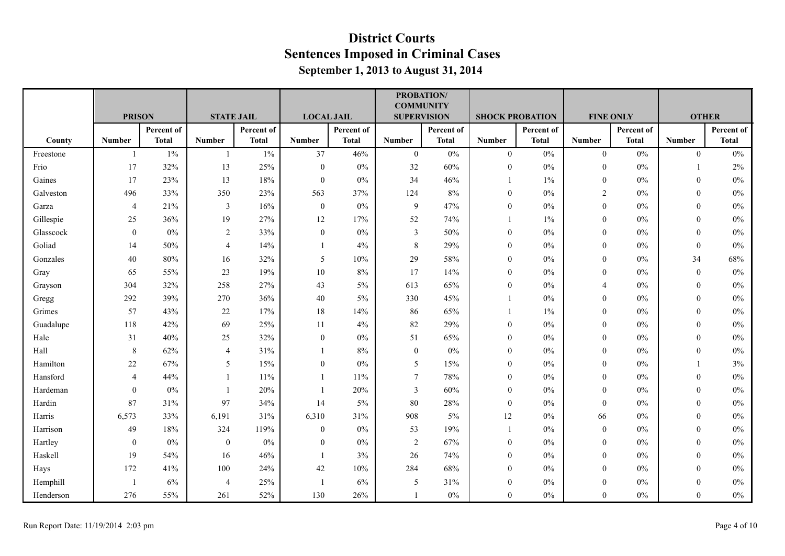|           |                  |               |                   |              |                   |              | <b>COMMUNITY</b>   | PROBATION/   |                        |              |                  |              |                  |              |
|-----------|------------------|---------------|-------------------|--------------|-------------------|--------------|--------------------|--------------|------------------------|--------------|------------------|--------------|------------------|--------------|
|           |                  | <b>PRISON</b> | <b>STATE JAIL</b> |              | <b>LOCAL JAIL</b> |              | <b>SUPERVISION</b> |              | <b>SHOCK PROBATION</b> |              | <b>FINE ONLY</b> |              | <b>OTHER</b>     |              |
|           |                  | Percent of    |                   | Percent of   |                   | Percent of   |                    | Percent of   |                        | Percent of   |                  | Percent of   |                  | Percent of   |
| County    | <b>Number</b>    | <b>Total</b>  | <b>Number</b>     | <b>Total</b> | <b>Number</b>     | <b>Total</b> | <b>Number</b>      | <b>Total</b> | <b>Number</b>          | <b>Total</b> | <b>Number</b>    | <b>Total</b> | <b>Number</b>    | <b>Total</b> |
| Freestone | $\mathbf{1}$     | $1\%$         | -1                | $1\%$        | 37                | 46%          | $\overline{0}$     | $0\%$        | $\overline{0}$         | $0\%$        | $\mathbf{0}$     | $0\%$        | $\overline{0}$   | $0\%$        |
| Frio      | 17               | 32%           | 13                | 25%          | $\boldsymbol{0}$  | $0\%$        | 32                 | 60%          | $\mathbf{0}$           | $0\%$        | $\overline{0}$   | $0\%$        | $\mathbf{1}$     | 2%           |
| Gaines    | 17               | 23%           | 13                | 18%          | $\bf{0}$          | 0%           | 34                 | 46%          |                        | $1\%$        | $\boldsymbol{0}$ | $0\%$        | $\theta$         | $0\%$        |
| Galveston | 496              | 33%           | 350               | 23%          | 563               | 37%          | 124                | 8%           | $\mathbf{0}$           | 0%           | $\overline{c}$   | 0%           | $\theta$         | $0\%$        |
| Garza     | $\overline{4}$   | 21%           | 3                 | 16%          | $\mathbf{0}$      | 0%           | $\mathbf{9}$       | 47%          | $\theta$               | $0\%$        | $\mathbf{0}$     | $0\%$        | $\theta$         | $0\%$        |
| Gillespie | 25               | 36%           | 19                | 27%          | 12                | 17%          | 52                 | 74%          |                        | $1\%$        | $\mathbf{0}$     | $0\%$        | $\mathbf{0}$     | $0\%$        |
| Glasscock | $\boldsymbol{0}$ | $0\%$         | 2                 | 33%          | $\boldsymbol{0}$  | $0\%$        | $\mathfrak{Z}$     | $50\%$       | $\boldsymbol{0}$       | $0\%$        | $\boldsymbol{0}$ | $0\%$        | $\boldsymbol{0}$ | $0\%$        |
| Goliad    | 14               | 50%           | $\overline{4}$    | 14%          |                   | 4%           | $\,8\,$            | 29%          | $\theta$               | $0\%$        | $\overline{0}$   | 0%           | $\theta$         | $0\%$        |
| Gonzales  | 40               | 80%           | 16                | 32%          | 5                 | 10%          | 29                 | 58%          | $\mathbf{0}$           | $0\%$        | $\mathbf{0}$     | $0\%$        | 34               | 68%          |
| Gray      | 65               | 55%           | 23                | 19%          | 10                | 8%           | 17                 | 14%          | $\mathbf{0}$           | $0\%$        | $\boldsymbol{0}$ | $0\%$        | $\mathbf{0}$     | $0\%$        |
| Grayson   | 304              | 32%           | 258               | 27%          | 43                | 5%           | 613                | 65%          | $\mathbf{0}$           | $0\%$        | $\overline{4}$   | $0\%$        | $\theta$         | $0\%$        |
| Gregg     | 292              | 39%           | 270               | 36%          | 40                | $5\%$        | 330                | 45%          |                        | $0\%$        | $\overline{0}$   | $0\%$        | $\theta$         | 0%           |
| Grimes    | 57               | 43%           | $22\,$            | 17%          | 18                | 14%          | 86                 | 65%          |                        | 1%           | $\overline{0}$   | $0\%$        | $\mathbf{0}$     | $0\%$        |
| Guadalupe | 118              | 42%           | 69                | 25%          | 11                | 4%           | 82                 | 29%          | $\mathbf{0}$           | $0\%$        | $\overline{0}$   | $0\%$        | $\theta$         | $0\%$        |
| Hale      | 31               | 40%           | 25                | 32%          | $\boldsymbol{0}$  | 0%           | 51                 | 65%          | $\mathbf{0}$           | 0%           | $\boldsymbol{0}$ | $0\%$        | $\boldsymbol{0}$ | $0\%$        |
| Hall      | 8                | 62%           | 4                 | 31%          |                   | 8%           | $\mathbf{0}$       | $0\%$        | $\mathbf{0}$           | 0%           | $\Omega$         | 0%           | $\theta$         | $0\%$        |
| Hamilton  | 22               | 67%           | 5                 | 15%          | $\mathbf{0}$      | $0\%$        | 5                  | 15%          | $\theta$               | $0\%$        | $\mathbf{0}$     | $0\%$        |                  | 3%           |
| Hansford  | $\overline{4}$   | 44%           |                   | $11\%$       |                   | 11%          | $\overline{7}$     | 78%          | $\boldsymbol{0}$       | $0\%$        | $\overline{0}$   | $0\%$        | $\boldsymbol{0}$ | $0\%$        |
| Hardeman  | $\overline{0}$   | $0\%$         |                   | 20%          |                   | 20%          | 3                  | 60%          | $\mathbf{0}$           | $0\%$        | $\boldsymbol{0}$ | $0\%$        | $\theta$         | $0\%$        |
| Hardin    | 87               | 31%           | 97                | 34%          | 14                | $5\%$        | 80                 | 28%          | $\theta$               | 0%           | $\mathbf{0}$     | 0%           | $\theta$         | $0\%$        |
| Harris    | 6,573            | 33%           | 6,191             | 31%          | 6,310             | 31%          | 908                | 5%           | 12                     | $0\%$        | 66               | $0\%$        | $\mathbf{0}$     | $0\%$        |
| Harrison  | 49               | 18%           | 324               | 119%         | $\bf{0}$          | $0\%$        | 53                 | 19%          |                        | $0\%$        | $\mathbf{0}$     | $0\%$        | $\theta$         | $0\%$        |
| Hartley   | $\overline{0}$   | $0\%$         | $\boldsymbol{0}$  | $0\%$        | $\bf{0}$          | 0%           | $\sqrt{2}$         | 67%          | $\mathbf{0}$           | $0\%$        | $\overline{0}$   | $0\%$        | $\theta$         | $0\%$        |
| Haskell   | 19               | 54%           | 16                | 46%          |                   | 3%           | 26                 | 74%          | $\mathbf{0}$           | $0\%$        | $\overline{0}$   | $0\%$        | $\theta$         | $0\%$        |
| Hays      | 172              | 41%           | 100               | 24%          | 42                | 10%          | 284                | 68%          | $\theta$               | $0\%$        | $\mathbf{0}$     | $0\%$        | $\theta$         | $0\%$        |
| Hemphill  | -1               | 6%            | $\overline{4}$    | 25%          | $\overline{1}$    | 6%           | 5                  | 31%          | $\theta$               | 0%           | $\boldsymbol{0}$ | $0\%$        | $\theta$         | $0\%$        |
| Henderson | 276              | 55%           | 261               | 52%          | 130               | 26%          | $\overline{1}$     | $0\%$        | $\mathbf{0}$           | $0\%$        | $\overline{0}$   | $0\%$        | $\mathbf{0}$     | $0\%$        |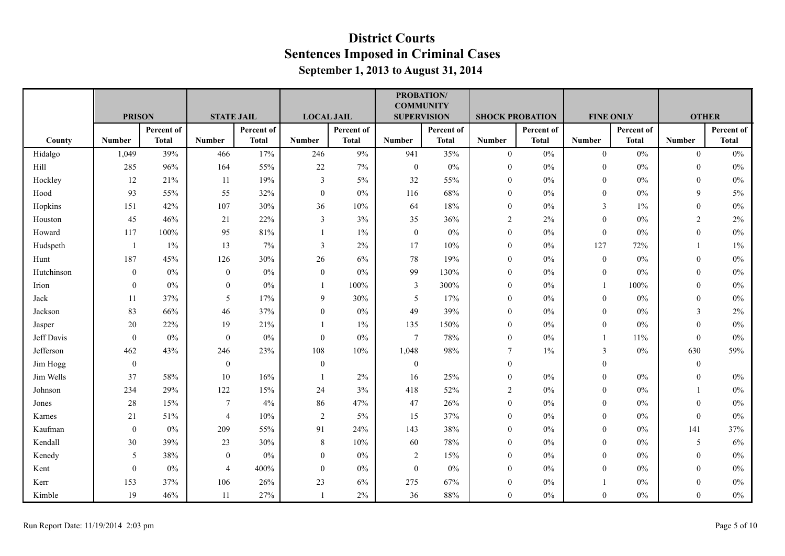|            |                |              |                   |              |                   |              | <b>PROBATION/</b><br><b>COMMUNITY</b> |              |                  |                        |                  |              |                  |              |
|------------|----------------|--------------|-------------------|--------------|-------------------|--------------|---------------------------------------|--------------|------------------|------------------------|------------------|--------------|------------------|--------------|
|            | <b>PRISON</b>  |              | <b>STATE JAIL</b> |              | <b>LOCAL JAIL</b> |              | <b>SUPERVISION</b>                    |              |                  | <b>SHOCK PROBATION</b> | <b>FINE ONLY</b> |              | <b>OTHER</b>     |              |
|            |                | Percent of   |                   | Percent of   |                   | Percent of   |                                       | Percent of   |                  | Percent of             |                  | Percent of   |                  | Percent of   |
| County     | <b>Number</b>  | <b>Total</b> | <b>Number</b>     | <b>Total</b> | <b>Number</b>     | <b>Total</b> | <b>Number</b>                         | <b>Total</b> | <b>Number</b>    | <b>Total</b>           | <b>Number</b>    | <b>Total</b> | <b>Number</b>    | <b>Total</b> |
| Hidalgo    | 1,049          | 39%          | 466               | 17%          | 246               | 9%           | 941                                   | 35%          | $\overline{0}$   | $0\%$                  | $\mathbf{0}$     | $0\%$        | $\overline{0}$   | $0\%$        |
| Hill       | 285            | 96%          | 164               | 55%          | 22                | 7%           | $\mathbf{0}$                          | $0\%$        | $\mathbf{0}$     | $0\%$                  | $\boldsymbol{0}$ | $0\%$        | $\boldsymbol{0}$ | $0\%$        |
| Hockley    | 12             | 21%          | 11                | 19%          | $\overline{3}$    | 5%           | 32                                    | 55%          | $\mathbf{0}$     | $0\%$                  | $\overline{0}$   | $0\%$        | $\theta$         | $0\%$        |
| Hood       | 93             | 55%          | 55                | 32%          | $\boldsymbol{0}$  | $0\%$        | 116                                   | 68%          | $\mathbf{0}$     | $0\%$                  | $\boldsymbol{0}$ | $0\%$        | 9                | 5%           |
| Hopkins    | 151            | 42%          | 107               | 30%          | 36                | 10%          | 64                                    | $18\%$       | $\mathbf{0}$     | $0\%$                  | $\overline{3}$   | $1\%$        | $\mathbf{0}$     | $0\%$        |
| Houston    | 45             | 46%          | 21                | 22%          | $\mathfrak{Z}$    | 3%           | 35                                    | 36%          | $\overline{2}$   | $2\%$                  | $\boldsymbol{0}$ | $0\%$        | $\overline{2}$   | 2%           |
| Howard     | 117            | $100\%$      | 95                | 81%          |                   | $1\%$        | $\boldsymbol{0}$                      | $0\%$        | $\boldsymbol{0}$ | $0\%$                  | $\mathbf{0}$     | $0\%$        | $\boldsymbol{0}$ | $0\%$        |
| Hudspeth   | $\mathbf{1}$   | $1\%$        | 13                | 7%           | 3                 | 2%           | 17                                    | 10%          | $\theta$         | $0\%$                  | 127              | 72%          |                  | 1%           |
| Hunt       | 187            | 45%          | 126               | 30%          | 26                | 6%           | $78\,$                                | 19%          | $\mathbf{0}$     | $0\%$                  | $\boldsymbol{0}$ | $0\%$        | $\mathbf{0}$     | $0\%$        |
| Hutchinson | $\overline{0}$ | 0%           | $\mathbf{0}$      | $0\%$        | $\mathbf{0}$      | 0%           | 99                                    | 130%         | $\mathbf{0}$     | 0%                     | $\overline{0}$   | 0%           | $\theta$         | $0\%$        |
| Irion      | $\overline{0}$ | $0\%$        | $\mathbf{0}$      | $0\%$        | $\mathbf{1}$      | 100%         | $\mathfrak{Z}$                        | 300%         | $\theta$         | $0\%$                  | $\mathbf{1}$     | 100%         | $\theta$         | $0\%$        |
| Jack       | 11             | 37%          | 5                 | 17%          | 9                 | 30%          | $\sqrt{5}$                            | 17%          | $\mathbf{0}$     | 0%                     | $\overline{0}$   | $0\%$        | $\theta$         | $0\%$        |
| Jackson    | 83             | 66%          | 46                | 37%          | $\boldsymbol{0}$  | $0\%$        | 49                                    | 39%          | $\mathbf{0}$     | $0\%$                  | $\boldsymbol{0}$ | $0\%$        | 3                | 2%           |
| Jasper     | 20             | 22%          | 19                | 21%          |                   | $1\%$        | 135                                   | 150%         | $\mathbf{0}$     | $0\%$                  | $\mathbf{0}$     | $0\%$        | $\theta$         | $0\%$        |
| Jeff Davis | $\mathbf{0}$   | $0\%$        | $\boldsymbol{0}$  | $0\%$        | $\boldsymbol{0}$  | $0\%$        | $\tau$                                | 78%          | $\mathbf{0}$     | $0\%$                  | $\mathbf{1}$     | 11%          | $\mathbf{0}$     | $0\%$        |
| Jefferson  | 462            | 43%          | 246               | 23%          | 108               | 10%          | 1,048                                 | 98%          | $\tau$           | $1\%$                  | 3                | $0\%$        | 630              | 59%          |
| Jim Hogg   | $\overline{0}$ |              | $\mathbf{0}$      |              | $\mathbf{0}$      |              | $\boldsymbol{0}$                      |              | $\mathbf{0}$     |                        | $\overline{0}$   |              | $\theta$         |              |
| Jim Wells  | 37             | 58%          | 10                | 16%          |                   | 2%           | 16                                    | 25%          | $\mathbf{0}$     | 0%                     | $\mathbf{0}$     | 0%           | $\mathbf{0}$     | $0\%$        |
| Johnson    | 234            | 29%          | 122               | 15%          | 24                | 3%           | 418                                   | 52%          | $\overline{2}$   | $0\%$                  | $\overline{0}$   | $0\%$        |                  | $0\%$        |
| Jones      | 28             | 15%          | 7                 | 4%           | 86                | 47%          | 47                                    | 26%          | $\mathbf{0}$     | $0\%$                  | $\boldsymbol{0}$ | $0\%$        | $\theta$         | $0\%$        |
| Karnes     | 21             | 51%          | $\overline{4}$    | 10%          | 2                 | 5%           | 15                                    | 37%          | $\mathbf{0}$     | $0\%$                  | $\mathbf{0}$     | $0\%$        | $\boldsymbol{0}$ | 0%           |
| Kaufman    | $\overline{0}$ | $0\%$        | 209               | 55%          | 91                | 24%          | 143                                   | $38\%$       | $\theta$         | $0\%$                  | $\mathbf{0}$     | $0\%$        | 141              | 37%          |
| Kendall    | 30             | 39%          | 23                | 30%          | $\,8\,$           | 10%          | 60                                    | 78%          | $\mathbf{0}$     | $0\%$                  | $\mathbf{0}$     | $0\%$        | 5                | 6%           |
| Kenedy     | 5              | 38%          | $\mathbf{0}$      | $0\%$        | $\boldsymbol{0}$  | $0\%$        | $\overline{2}$                        | 15%          | $\mathbf{0}$     | $0\%$                  | $\overline{0}$   | $0\%$        | $\theta$         | $0\%$        |
| Kent       | $\mathbf{0}$   | $0\%$        | $\overline{4}$    | 400%         | $\mathbf{0}$      | $0\%$        | $\boldsymbol{0}$                      | $0\%$        | $\theta$         | $0\%$                  | $\mathbf{0}$     | $0\%$        | $\theta$         | $0\%$        |
| Kerr       | 153            | 37%          | 106               | 26%          | 23                | 6%           | 275                                   | 67%          | $\theta$         | 0%                     |                  | $0\%$        | $\theta$         | $0\%$        |
| Kimble     | 19             | 46%          | 11                | 27%          | $\overline{1}$    | 2%           | 36                                    | $88\%$       | $\mathbf{0}$     | $0\%$                  | $\overline{0}$   | $0\%$        | $\mathbf{0}$     | $0\%$        |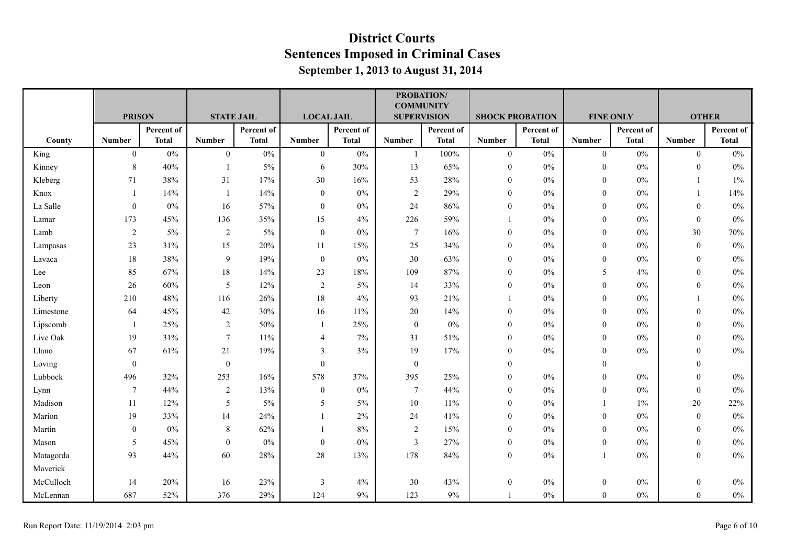|           |                  |              |                   |              |                   |              | <b>COMMUNITY</b>   | <b>PROBATION/</b> |                  |                        |                  |              |                  |              |
|-----------|------------------|--------------|-------------------|--------------|-------------------|--------------|--------------------|-------------------|------------------|------------------------|------------------|--------------|------------------|--------------|
|           | <b>PRISON</b>    |              | <b>STATE JAIL</b> |              | <b>LOCAL JAIL</b> |              | <b>SUPERVISION</b> |                   |                  | <b>SHOCK PROBATION</b> | <b>FINE ONLY</b> |              | <b>OTHER</b>     |              |
|           |                  | Percent of   |                   | Percent of   |                   | Percent of   |                    | Percent of        |                  | Percent of             |                  | Percent of   |                  | Percent of   |
| County    | <b>Number</b>    | <b>Total</b> | <b>Number</b>     | <b>Total</b> | <b>Number</b>     | <b>Total</b> | <b>Number</b>      | <b>Total</b>      | <b>Number</b>    | <b>Total</b>           | <b>Number</b>    | <b>Total</b> | <b>Number</b>    | <b>Total</b> |
| King      | $\mathbf{0}$     | $0\%$        | $\mathbf{0}$      | $0\%$        | $\mathbf{0}$      | $0\%$        | $\mathbf{1}$       | 100%              | $\overline{0}$   | $0\%$                  | $\overline{0}$   | $0\%$        | $\mathbf{0}$     | 0%           |
| Kinney    | 8                | 40%          | $\mathbf{1}$      | $5\%$        | 6                 | 30%          | 13                 | 65%               | $\boldsymbol{0}$ | $0\%$                  | $\mathbf{0}$     | $0\%$        | $\theta$         | $0\%$        |
| Kleberg   | 71               | 38%          | 31                | 17%          | $30\,$            | 16%          | 53                 | 28%               | $\boldsymbol{0}$ | $0\%$                  | $\boldsymbol{0}$ | $0\%$        |                  | $1\%$        |
| Knox      | $\overline{1}$   | 14%          | 1                 | 14%          | $\mathbf{0}$      | $0\%$        | $\sqrt{2}$         | 29%               | $\mathbf{0}$     | 0%                     | $\mathbf{0}$     | $0\%$        |                  | 14%          |
| La Salle  | $\boldsymbol{0}$ | $0\%$        | 16                | 57%          | $\mathbf{0}$      | $0\%$        | 24                 | 86%               | $\mathbf{0}$     | $0\%$                  | $\mathbf{0}$     | $0\%$        | $\theta$         | $0\%$        |
| Lamar     | 173              | 45%          | 136               | 35%          | 15                | 4%           | 226                | 59%               |                  | $0\%$                  | $\mathbf{0}$     | $0\%$        | $\mathbf{0}$     | $0\%$        |
| Lamb      | 2                | $5\%$        | $\overline{2}$    | 5%           | $\mathbf{0}$      | $0\%$        | $\boldsymbol{7}$   | 16%               | $\boldsymbol{0}$ | $0\%$                  | $\boldsymbol{0}$ | $0\%$        | 30               | $70\%$       |
| Lampasas  | 23               | 31%          | 15                | 20%          | 11                | 15%          | 25                 | 34%               | $\theta$         | 0%                     | $\mathbf{0}$     | $0\%$        | $\mathbf{0}$     | $0\%$        |
| Lavaca    | 18               | 38%          | $\overline{9}$    | 19%          | $\mathbf{0}$      | $0\%$        | 30                 | 63%               | $\boldsymbol{0}$ | $0\%$                  | $\boldsymbol{0}$ | $0\%$        | $\theta$         | $0\%$        |
| Lee       | 85               | 67%          | 18                | 14%          | 23                | 18%          | 109                | 87%               | $\boldsymbol{0}$ | $0\%$                  | 5                | 4%           | $\theta$         | $0\%$        |
| Leon      | $26\,$           | 60%          | $\sqrt{5}$        | 12%          | $\sqrt{2}$        | 5%           | 14                 | 33%               | $\boldsymbol{0}$ | $0\%$                  | $\mathbf{0}$     | $0\%$        | $\theta$         | $0\%$        |
| Liberty   | 210              | 48%          | 116               | 26%          | $18\,$            | 4%           | 93                 | 21%               |                  | 0%                     | $\mathbf{0}$     | $0\%$        |                  | $0\%$        |
| Limestone | 64               | 45%          | 42                | 30%          | 16                | 11%          | $20\,$             | 14%               | $\mathbf{0}$     | $0\%$                  | $\mathbf{0}$     | $0\%$        | $\theta$         | $0\%$        |
| Lipscomb  | -1               | 25%          | $\sqrt{2}$        | 50%          |                   | 25%          | $\boldsymbol{0}$   | $0\%$             | $\boldsymbol{0}$ | $0\%$                  | $\mathbf{0}$     | $0\%$        | $\theta$         | $0\%$        |
| Live Oak  | 19               | 31%          | $\overline{7}$    | $11\%$       | $\overline{4}$    | 7%           | 31                 | 51%               | $\boldsymbol{0}$ | $0\%$                  | $\boldsymbol{0}$ | $0\%$        | $\theta$         | $0\%$        |
| Llano     | 67               | 61%          | 21                | 19%          | 3                 | 3%           | 19                 | 17%               | $\mathbf{0}$     | $0\%$                  | $\theta$         | $0\%$        | $\theta$         | $0\%$        |
| Loving    | $\boldsymbol{0}$ |              | $\boldsymbol{0}$  |              | $\mathbf{0}$      |              | $\boldsymbol{0}$   |                   | $\mathbf{0}$     |                        | $\mathbf{0}$     |              | $\theta$         |              |
| Lubbock   | 496              | 32%          | 253               | 16%          | 578               | 37%          | 395                | 25%               | $\boldsymbol{0}$ | $0\%$                  | $\mathbf{0}$     | $0\%$        | $\mathbf{0}$     | $0\%$        |
| Lynn      | $\overline{7}$   | 44%          | $\overline{2}$    | 13%          | $\mathbf{0}$      | $0\%$        | $\boldsymbol{7}$   | 44%               | $\mathbf{0}$     | $0\%$                  | $\mathbf{0}$     | $0\%$        | $\mathbf{0}$     | $0\%$        |
| Madison   | 11               | 12%          | 5                 | 5%           | 5                 | 5%           | 10                 | 11%               | $\mathbf{0}$     | 0%                     |                  | $1\%$        | 20               | 22%          |
| Marion    | 19               | 33%          | 14                | 24%          |                   | $2\%$        | 24                 | 41%               | $\boldsymbol{0}$ | $0\%$                  | $\mathbf{0}$     | $0\%$        | $\mathbf{0}$     | $0\%$        |
| Martin    | $\mathbf{0}$     | $0\%$        | $\,8\,$           | 62%          |                   | 8%           | $\overline{2}$     | 15%               | $\mathbf{0}$     | $0\%$                  | $\mathbf{0}$     | $0\%$        | $\theta$         | $0\%$        |
| Mason     | 5                | 45%          | $\boldsymbol{0}$  | $0\%$        | $\mathbf{0}$      | $0\%$        | $\mathfrak{Z}$     | 27%               | $\boldsymbol{0}$ | 0%                     | $\mathbf{0}$     | $0\%$        | $\mathbf{0}$     | $0\%$        |
| Matagorda | 93               | 44%          | 60                | 28%          | 28                | 13%          | 178                | 84%               | $\mathbf{0}$     | 0%                     | $\overline{1}$   | $0\%$        | $\mathbf{0}$     | $0\%$        |
| Maverick  |                  |              |                   |              |                   |              |                    |                   |                  |                        |                  |              |                  |              |
| McCulloch | 14               | 20%          | 16                | 23%          | $\mathfrak{Z}$    | 4%           | 30                 | 43%               | $\boldsymbol{0}$ | $0\%$                  | $\boldsymbol{0}$ | $0\%$        | $\boldsymbol{0}$ | $0\%$        |
| McLennan  | 687              | 52%          | 376               | 29%          | 124               | $9\%$        | 123                | $9\%$             |                  | $0\%$                  | $\mathbf{0}$     | $0\%$        | $\mathbf{0}$     | $0\%$        |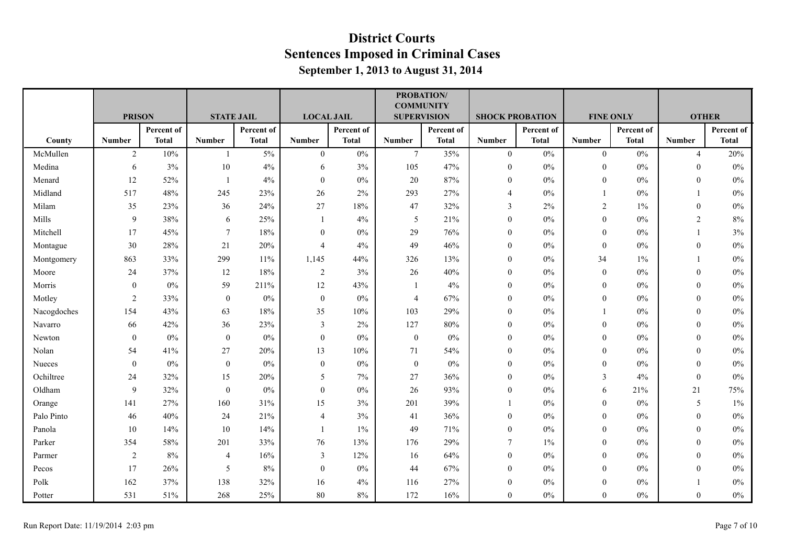|             |                |              |                   |              |                   |              | <b>COMMUNITY</b>   | PROBATION/   |                        |              |                  |              |                  |              |
|-------------|----------------|--------------|-------------------|--------------|-------------------|--------------|--------------------|--------------|------------------------|--------------|------------------|--------------|------------------|--------------|
|             | <b>PRISON</b>  |              | <b>STATE JAIL</b> |              | <b>LOCAL JAIL</b> |              | <b>SUPERVISION</b> |              | <b>SHOCK PROBATION</b> |              | <b>FINE ONLY</b> |              |                  | <b>OTHER</b> |
|             |                | Percent of   |                   | Percent of   |                   | Percent of   |                    | Percent of   |                        | Percent of   |                  | Percent of   |                  | Percent of   |
| County      | <b>Number</b>  | <b>Total</b> | <b>Number</b>     | <b>Total</b> | <b>Number</b>     | <b>Total</b> | <b>Number</b>      | <b>Total</b> | <b>Number</b>          | <b>Total</b> | <b>Number</b>    | <b>Total</b> | <b>Number</b>    | <b>Total</b> |
| McMullen    | $\overline{2}$ | 10%          | $\overline{1}$    | 5%           | $\mathbf{0}$      | $0\%$        | $7\overline{ }$    | 35%          | $\overline{0}$         | $0\%$        | $\mathbf{0}$     | $0\%$        | $\overline{4}$   | 20%          |
| Medina      | 6              | 3%           | 10                | 4%           | 6                 | 3%           | 105                | 47%          | $\mathbf{0}$           | $0\%$        | $\overline{0}$   | $0\%$        | $\theta$         | $0\%$        |
| Menard      | 12             | 52%          | -1                | 4%           | $\mathbf{0}$      | $0\%$        | $20\,$             | $87\%$       | $\mathbf{0}$           | $0\%$        | $\boldsymbol{0}$ | $0\%$        | $\theta$         | $0\%$        |
| Midland     | 517            | 48%          | 245               | 23%          | 26                | 2%           | 293                | 27%          | $\overline{4}$         | 0%           | $\mathbf{1}$     | 0%           |                  | $0\%$        |
| Milam       | 35             | 23%          | 36                | 24%          | 27                | 18%          | 47                 | 32%          | 3                      | 2%           | $\overline{c}$   | $1\%$        | $\mathbf{0}$     | $0\%$        |
| Mills       | 9              | 38%          | 6                 | 25%          | -1                | 4%           | 5                  | 21%          | $\mathbf{0}$           | $0\%$        | $\mathbf{0}$     | $0\%$        | 2                | 8%           |
| Mitchell    | 17             | 45%          | 7                 | 18%          | $\bf{0}$          | $0\%$        | 29                 | 76%          | $\boldsymbol{0}$       | $0\%$        | $\boldsymbol{0}$ | $0\%$        |                  | 3%           |
| Montague    | 30             | 28%          | 21                | 20%          | $\overline{4}$    | 4%           | 49                 | 46%          | $\theta$               | 0%           | $\mathbf{0}$     | $0\%$        | $\theta$         | $0\%$        |
| Montgomery  | 863            | 33%          | 299               | 11%          | 1,145             | 44%          | 326                | 13%          | $\mathbf{0}$           | 0%           | 34               | $1\%$        |                  | $0\%$        |
| Moore       | 24             | 37%          | 12                | 18%          | 2                 | 3%           | 26                 | 40%          | $\mathbf{0}$           | $0\%$        | $\boldsymbol{0}$ | $0\%$        | $\theta$         | $0\%$        |
| Morris      | $\mathbf{0}$   | $0\%$        | 59                | 211%         | 12                | 43%          | -1                 | 4%           | $\boldsymbol{0}$       | 0%           | $\overline{0}$   | $0\%$        | $\theta$         | $0\%$        |
| Motley      | 2              | 33%          | $\mathbf{0}$      | $0\%$        | $\mathbf{0}$      | 0%           | $\overline{4}$     | 67%          | $\theta$               | 0%           | $\overline{0}$   | $0\%$        | $\theta$         | 0%           |
| Nacogdoches | 154            | 43%          | 63                | 18%          | 35                | 10%          | 103                | 29%          | $\mathbf{0}$           | $0\%$        |                  | $0\%$        | $\mathbf{0}$     | $0\%$        |
| Navarro     | 66             | 42%          | 36                | 23%          | $\mathfrak{Z}$    | 2%           | 127                | $80\%$       | $\boldsymbol{0}$       | 0%           | $\overline{0}$   | $0\%$        | $\theta$         | $0\%$        |
| Newton      | $\mathbf{0}$   | $0\%$        | $\mathbf{0}$      | $0\%$        | $\mathbf{0}$      | $0\%$        | $\boldsymbol{0}$   | $0\%$        | $\mathbf{0}$           | 0%           | $\boldsymbol{0}$ | $0\%$        | $\boldsymbol{0}$ | $0\%$        |
| Nolan       | 54             | 41%          | 27                | 20%          | 13                | 10%          | 71                 | 54%          | $\mathbf{0}$           | 0%           | $\Omega$         | 0%           | $\theta$         | $0\%$        |
| Nueces      | $\mathbf{0}$   | $0\%$        | $\mathbf{0}$      | $0\%$        | $\mathbf{0}$      | $0\%$        | $\boldsymbol{0}$   | $0\%$        | $\theta$               | $0\%$        | $\mathbf{0}$     | $0\%$        | $\theta$         | $0\%$        |
| Ochiltree   | 24             | 32%          | 15                | 20%          | 5                 | 7%           | $27\,$             | 36%          | $\boldsymbol{0}$       | $0\%$        | 3                | 4%           | $\mathbf{0}$     | $0\%$        |
| Oldham      | 9              | 32%          | $\boldsymbol{0}$  | $0\%$        | $\bf{0}$          | $0\%$        | 26                 | 93%          | $\mathbf{0}$           | 0%           | 6                | 21%          | 21               | 75%          |
| Orange      | 141            | 27%          | 160               | 31%          | 15                | 3%           | 201                | 39%          |                        | 0%           | $\overline{0}$   | 0%           | 5                | $1\%$        |
| Palo Pinto  | 46             | 40%          | 24                | 21%          | $\overline{4}$    | 3%           | 41                 | 36%          | $\boldsymbol{0}$       | $0\%$        | $\mathbf{0}$     | $0\%$        | $\mathbf{0}$     | $0\%$        |
| Panola      | 10             | 14%          | 10                | 14%          | $\overline{1}$    | $1\%$        | 49                 | 71%          | $\theta$               | $0\%$        | $\overline{0}$   | $0\%$        | $\theta$         | $0\%$        |
| Parker      | 354            | 58%          | 201               | 33%          | 76                | 13%          | 176                | 29%          | $\tau$                 | 1%           | $\overline{0}$   | $0\%$        | $\mathbf{0}$     | $0\%$        |
| Parmer      | 2              | 8%           | $\overline{4}$    | 16%          | 3                 | 12%          | 16                 | 64%          | $\mathbf{0}$           | 0%           | $\overline{0}$   | $0\%$        | $\theta$         | $0\%$        |
| Pecos       | 17             | 26%          | $\sqrt{5}$        | 8%           | $\mathbf{0}$      | $0\%$        | 44                 | 67%          | $\mathbf{0}$           | $0\%$        | $\mathbf{0}$     | $0\%$        | $\theta$         | $0\%$        |
| Polk        | 162            | 37%          | 138               | 32%          | 16                | 4%           | 116                | 27%          | $\theta$               | 0%           | $\overline{0}$   | $0\%$        |                  | $0\%$        |
| Potter      | 531            | 51%          | 268               | 25%          | 80                | $8\%$        | 172                | 16%          | $\mathbf{0}$           | $0\%$        | $\overline{0}$   | $0\%$        | $\mathbf{0}$     | $0\%$        |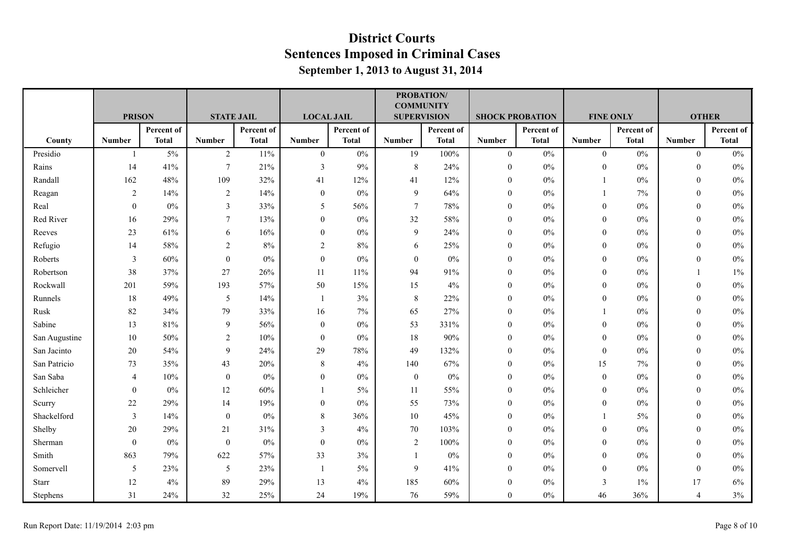|               |                |              |                   |              |                   |              | <b>COMMUNITY</b>   | <b>PROBATION/</b> |                        |              |                  |              |                |              |
|---------------|----------------|--------------|-------------------|--------------|-------------------|--------------|--------------------|-------------------|------------------------|--------------|------------------|--------------|----------------|--------------|
|               | <b>PRISON</b>  |              | <b>STATE JAIL</b> |              | <b>LOCAL JAIL</b> |              | <b>SUPERVISION</b> |                   | <b>SHOCK PROBATION</b> |              | <b>FINE ONLY</b> |              |                | <b>OTHER</b> |
|               |                | Percent of   |                   | Percent of   |                   | Percent of   |                    | Percent of        |                        | Percent of   |                  | Percent of   |                | Percent of   |
| County        | <b>Number</b>  | <b>Total</b> | <b>Number</b>     | <b>Total</b> | <b>Number</b>     | <b>Total</b> | <b>Number</b>      | <b>Total</b>      | <b>Number</b>          | <b>Total</b> | <b>Number</b>    | <b>Total</b> | <b>Number</b>  | <b>Total</b> |
| Presidio      | $\mathbf{1}$   | $5\%$        | $\overline{2}$    | 11%          | $\mathbf{0}$      | $0\%$        | 19                 | 100%              | $\overline{0}$         | $0\%$        | $\mathbf{0}$     | $0\%$        | $\overline{0}$ | 0%           |
| Rains         | 14             | 41%          | $\overline{7}$    | 21%          | 3                 | 9%           | $\,8\,$            | 24%               | $\mathbf{0}$           | $0\%$        | $\overline{0}$   | $0\%$        | $\theta$       | $0\%$        |
| Randall       | 162            | 48%          | 109               | 32%          | 41                | 12%          | 41                 | 12%               | $\mathbf{0}$           | $0\%$        |                  | $0\%$        | $\theta$       | $0\%$        |
| Reagan        | 2              | 14%          | $\overline{2}$    | 14%          | $\bf{0}$          | 0%           | 9                  | 64%               | $\theta$               | 0%           | 1                | $7\%$        | $\theta$       | $0\%$        |
| Real          | $\theta$       | $0\%$        | 3                 | 33%          | 5                 | 56%          | $\tau$             | 78%               | $\theta$               | $0\%$        | $\overline{0}$   | $0\%$        | $\theta$       | $0\%$        |
| Red River     | 16             | 29%          | $\overline{7}$    | 13%          | $\boldsymbol{0}$  | $0\%$        | 32                 | 58%               | $\theta$               | $0\%$        | $\overline{0}$   | $0\%$        | $\mathbf{0}$   | $0\%$        |
| Reeves        | 23             | 61%          | 6                 | 16%          | $\boldsymbol{0}$  | $0\%$        | 9                  | 24%               | $\boldsymbol{0}$       | $0\%$        | $\boldsymbol{0}$ | $0\%$        | $\theta$       | $0\%$        |
| Refugio       | 14             | 58%          | $\overline{2}$    | $8\%$        | $\overline{2}$    | 8%           | 6                  | 25%               | $\theta$               | $0\%$        | $\overline{0}$   | 0%           | $\theta$       | $0\%$        |
| Roberts       | $\mathbf{3}$   | 60%          | $\mathbf{0}$      | $0\%$        | $\boldsymbol{0}$  | $0\%$        | $\boldsymbol{0}$   | $0\%$             | $\mathbf{0}$           | $0\%$        | $\mathbf{0}$     | $0\%$        | $\theta$       | $0\%$        |
| Robertson     | 38             | 37%          | 27                | 26%          | 11                | 11%          | 94                 | 91%               | $\mathbf{0}$           | $0\%$        | $\boldsymbol{0}$ | $0\%$        |                | $1\%$        |
| Rockwall      | 201            | 59%          | 193               | 57%          | 50                | 15%          | 15                 | 4%                | $\mathbf{0}$           | $0\%$        | $\overline{0}$   | $0\%$        | $\theta$       | $0\%$        |
| Runnels       | 18             | 49%          | 5                 | 14%          | $\overline{1}$    | 3%           | 8                  | 22%               | $\theta$               | 0%           | $\overline{0}$   | 0%           | $\theta$       | 0%           |
| Rusk          | 82             | 34%          | 79                | 33%          | 16                | 7%           | 65                 | 27%               | $\mathbf{0}$           | $0\%$        |                  | $0\%$        | $\theta$       | $0\%$        |
| Sabine        | 13             | 81%          | 9                 | 56%          | $\bf{0}$          | 0%           | 53                 | 331%              | $\mathbf{0}$           | $0\%$        | $\overline{0}$   | $0\%$        | $\theta$       | $0\%$        |
| San Augustine | 10             | 50%          | $\overline{c}$    | 10%          | $\bf{0}$          | 0%           | 18                 | 90%               | $\mathbf{0}$           | 0%           | $\boldsymbol{0}$ | $0\%$        | $\theta$       | $0\%$        |
| San Jacinto   | 20             | 54%          | 9                 | 24%          | 29                | 78%          | 49                 | 132%              | $\theta$               | $0\%$        | $\theta$         | 0%           | $\theta$       | $0\%$        |
| San Patricio  | 73             | 35%          | 43                | 20%          | 8                 | 4%           | 140                | 67%               | $\theta$               | $0\%$        | 15               | $7\%$        | $\theta$       | $0\%$        |
| San Saba      | $\overline{4}$ | 10%          | $\boldsymbol{0}$  | $0\%$        | $\boldsymbol{0}$  | $0\%$        | $\boldsymbol{0}$   | $0\%$             | $\boldsymbol{0}$       | $0\%$        | $\boldsymbol{0}$ | $0\%$        | $\theta$       | $0\%$        |
| Schleicher    | $\overline{0}$ | $0\%$        | 12                | 60%          |                   | 5%           | 11                 | 55%               | $\mathbf{0}$           | $0\%$        | $\overline{0}$   | $0\%$        | $\theta$       | $0\%$        |
| Scurry        | 22             | 29%          | 14                | 19%          | $\theta$          | 0%           | 55                 | 73%               | $\theta$               | 0%           | $\overline{0}$   | 0%           | $\theta$       | $0\%$        |
| Shackelford   | 3              | 14%          | $\boldsymbol{0}$  | $0\%$        | $\,8\,$           | 36%          | $10\,$             | 45%               | $\mathbf{0}$           | $0\%$        |                  | $5\%$        | $\theta$       | $0\%$        |
| Shelby        | 20             | 29%          | 21                | 31%          | 3                 | 4%           | 70                 | 103%              | $\theta$               | $0\%$        | $\overline{0}$   | $0\%$        | $\theta$       | $0\%$        |
| Sherman       | $\mathbf{0}$   | $0\%$        | $\boldsymbol{0}$  | $0\%$        | $\boldsymbol{0}$  | $0\%$        | $\overline{2}$     | 100%              | $\mathbf{0}$           | $0\%$        | $\overline{0}$   | $0\%$        | $\theta$       | $0\%$        |
| Smith         | 863            | 79%          | 622               | 57%          | 33                | 3%           | $\mathbf{1}$       | $0\%$             | $\theta$               | $0\%$        | $\overline{0}$   | $0\%$        | $\theta$       | $0\%$        |
| Somervell     | 5              | 23%          | 5                 | 23%          | $\overline{1}$    | 5%           | 9                  | 41%               | $\theta$               | $0\%$        | $\mathbf{0}$     | $0\%$        | $\theta$       | $0\%$        |
| Starr         | 12             | 4%           | 89                | 29%          | 13                | 4%           | 185                | 60%               | $\theta$               | 0%           | 3                | $1\%$        | 17             | $6\%$        |
| Stephens      | 31             | 24%          | 32                | 25%          | 24                | 19%          | 76                 | 59%               | $\mathbf{0}$           | $0\%$        | 46               | 36%          | $\overline{4}$ | 3%           |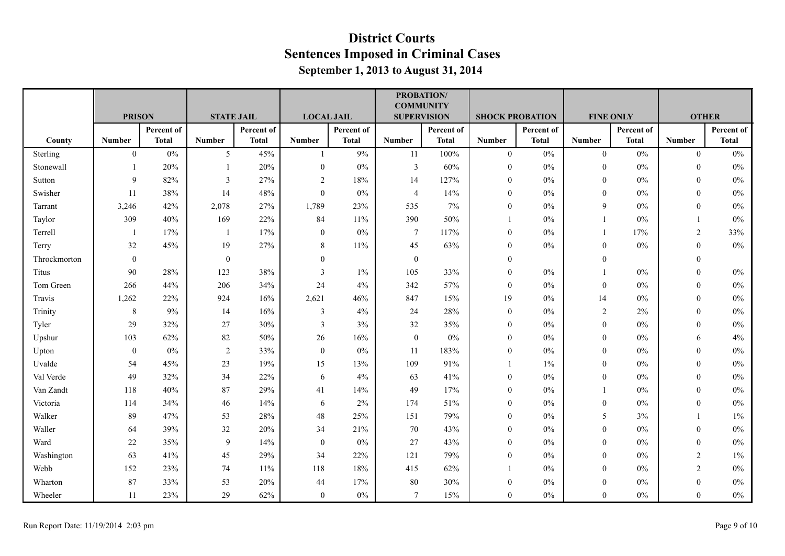|              |                  |              |                   |              |                   |              | <b>COMMUNITY</b>   | PROBATION/   |                        |              |                  |              |                |              |
|--------------|------------------|--------------|-------------------|--------------|-------------------|--------------|--------------------|--------------|------------------------|--------------|------------------|--------------|----------------|--------------|
|              | <b>PRISON</b>    |              | <b>STATE JAIL</b> |              | <b>LOCAL JAIL</b> |              | <b>SUPERVISION</b> |              | <b>SHOCK PROBATION</b> |              | <b>FINE ONLY</b> |              | <b>OTHER</b>   |              |
|              |                  | Percent of   |                   | Percent of   |                   | Percent of   |                    | Percent of   |                        | Percent of   |                  | Percent of   |                | Percent of   |
| County       | <b>Number</b>    | <b>Total</b> | <b>Number</b>     | <b>Total</b> | <b>Number</b>     | <b>Total</b> | <b>Number</b>      | <b>Total</b> | <b>Number</b>          | <b>Total</b> | <b>Number</b>    | <b>Total</b> | <b>Number</b>  | <b>Total</b> |
| Sterling     | $\boldsymbol{0}$ | $0\%$        | 5 <sup>5</sup>    | 45%          | $\overline{1}$    | 9%           | 11                 | 100%         | $\overline{0}$         | $0\%$        | $\mathbf{0}$     | $0\%$        | $\overline{0}$ | $0\%$        |
| Stonewall    |                  | 20%          |                   | 20%          | $\mathbf{0}$      | $0\%$        | $\mathfrak{Z}$     | 60%          | $\mathbf{0}$           | $0\%$        | $\mathbf{0}$     | $0\%$        | $\mathbf{0}$   | $0\%$        |
| Sutton       | 9                | 82%          | 3                 | 27%          | 2                 | $18\%$       | 14                 | 127%         | $\mathbf{0}$           | $0\%$        | $\boldsymbol{0}$ | $0\%$        | $\theta$       | $0\%$        |
| Swisher      | 11               | 38%          | 14                | 48%          | $\theta$          | 0%           | $\overline{4}$     | 14%          | $\mathbf{0}$           | 0%           | $\overline{0}$   | 0%           | $\theta$       | $0\%$        |
| Tarrant      | 3,246            | 42%          | 2,078             | 27%          | 1,789             | 23%          | 535                | 7%           | $\theta$               | $0\%$        | 9                | $0\%$        | $\theta$       | $0\%$        |
| Taylor       | 309              | 40%          | 169               | 22%          | 84                | 11%          | 390                | 50%          |                        | $0\%$        |                  | $0\%$        | $\mathbf{1}$   | $0\%$        |
| Terrell      | -1               | 17%          | 1                 | 17%          | $\boldsymbol{0}$  | $0\%$        | $\overline{7}$     | 117%         | $\mathbf{0}$           | $0\%$        | 1                | 17%          | $\overline{2}$ | 33%          |
| Terry        | 32               | 45%          | 19                | 27%          | 8                 | 11%          | 45                 | 63%          | $\theta$               | 0%           | $\overline{0}$   | 0%           | $\theta$       | $0\%$        |
| Throckmorton | $\overline{0}$   |              | 0                 |              | $\theta$          |              | $\boldsymbol{0}$   |              | $\mathbf{0}$           |              | $\mathbf{0}$     |              | $\theta$       |              |
| Titus        | 90               | 28%          | 123               | 38%          | $\overline{3}$    | $1\%$        | 105                | 33%          | $\mathbf{0}$           | $0\%$        |                  | $0\%$        | $\theta$       | $0\%$        |
| Tom Green    | 266              | 44%          | 206               | 34%          | 24                | 4%           | 342                | 57%          | $\mathbf{0}$           | $0\%$        | $\mathbf{0}$     | $0\%$        | $\theta$       | $0\%$        |
| Travis       | 1,262            | 22%          | 924               | 16%          | 2,621             | 46%          | 847                | 15%          | 19                     | 0%           | 14               | $0\%$        | $\theta$       | 0%           |
| Trinity      | 8                | 9%           | 14                | 16%          | 3                 | 4%           | 24                 | 28%          | $\mathbf{0}$           | $0\%$        | $\overline{2}$   | 2%           | $\mathbf{0}$   | $0\%$        |
| Tyler        | 29               | 32%          | 27                | 30%          | $\overline{3}$    | 3%           | 32                 | 35%          | $\mathbf{0}$           | $0\%$        | $\overline{0}$   | $0\%$        | $\mathbf{0}$   | $0\%$        |
| Upshur       | 103              | 62%          | 82                | 50%          | 26                | 16%          | $\boldsymbol{0}$   | $0\%$        | $\mathbf{0}$           | $0\%$        | $\boldsymbol{0}$ | $0\%$        | 6              | 4%           |
| Upton        | $\overline{0}$   | $0\%$        | 2                 | 33%          | $\mathbf{0}$      | 0%           | 11                 | 183%         | $\theta$               | 0%           | $\Omega$         | 0%           | $\theta$       | 0%           |
| Uvalde       | 54               | 45%          | 23                | 19%          | 15                | 13%          | 109                | 91%          | $\overline{1}$         | 1%           | $\overline{0}$   | $0\%$        | $\theta$       | $0\%$        |
| Val Verde    | 49               | 32%          | 34                | 22%          | 6                 | 4%           | 63                 | 41%          | $\boldsymbol{0}$       | $0\%$        | $\overline{0}$   | $0\%$        | $\mathbf{0}$   | $0\%$        |
| Van Zandt    | 118              | 40%          | 87                | 29%          | 41                | 14%          | 49                 | 17%          | $\mathbf{0}$           | $0\%$        |                  | $0\%$        | $\theta$       | $0\%$        |
| Victoria     | 114              | 34%          | 46                | 14%          | 6                 | $2\%$        | 174                | 51%          | $\theta$               | 0%           | $\overline{0}$   | 0%           | $\theta$       | $0\%$        |
| Walker       | 89               | 47%          | 53                | 28%          | 48                | 25%          | 151                | 79%          | $\mathbf{0}$           | $0\%$        | 5                | 3%           |                | 1%           |
| Waller       | 64               | 39%          | 32                | 20%          | 34                | 21%          | $70\,$             | 43%          | $\theta$               | $0\%$        | $\mathbf{0}$     | $0\%$        | $\theta$       | $0\%$        |
| Ward         | 22               | 35%          | 9                 | 14%          | $\boldsymbol{0}$  | $0\%$        | 27                 | 43%          | $\theta$               | $0\%$        | $\overline{0}$   | $0\%$        | $\theta$       | $0\%$        |
| Washington   | 63               | 41%          | 45                | 29%          | 34                | 22%          | 121                | 79%          | $\mathbf{0}$           | $0\%$        | $\overline{0}$   | $0\%$        | $\overline{2}$ | $1\%$        |
| Webb         | 152              | 23%          | 74                | 11%          | 118               | 18%          | 415                | 62%          | $\overline{1}$         | $0\%$        | $\overline{0}$   | $0\%$        | $\overline{2}$ | $0\%$        |
| Wharton      | 87               | 33%          | 53                | 20%          | 44                | 17%          | 80                 | 30%          | $\mathbf{0}$           | 0%           | $\boldsymbol{0}$ | $0\%$        | $\theta$       | $0\%$        |
| Wheeler      | 11               | 23%          | 29                | 62%          | $\mathbf{0}$      | $0\%$        | $\tau$             | 15%          | $\mathbf{0}$           | 0%           | $\overline{0}$   | $0\%$        | $\mathbf{0}$   | $0\%$        |